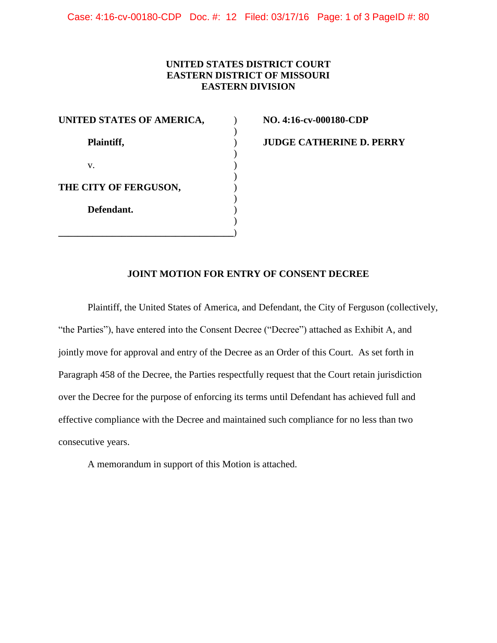Case: 4:16-cv-00180-CDP Doc. #: 12 Filed: 03/17/16 Page: 1 of 3 PageID #: 80

## **UNITED STATES DISTRICT COURT EASTERN DISTRICT OF MISSOURI EASTERN DIVISION**

| UNITED STATES OF AMERICA, |  |
|---------------------------|--|
|                           |  |
| Plaintiff,                |  |
|                           |  |
| V.                        |  |
| THE CITY OF FERGUSON,     |  |
| Defendant.                |  |
|                           |  |
|                           |  |

**UNITED STATES OF AMERICA,** ) **NO. 4:16-cv-000180-CDP** 

**Plaintiff,** ) **JUDGE CATHERINE D. PERRY** 

## **JOINT MOTION FOR ENTRY OF CONSENT DECREE**

 jointly move for approval and entry of the Decree as an Order of this Court. As set forth in consecutive years. Plaintiff, the United States of America, and Defendant, the City of Ferguson (collectively, "the Parties"), have entered into the Consent Decree ("Decree") attached as Exhibit A, and Paragraph 458 of the Decree, the Parties respectfully request that the Court retain jurisdiction over the Decree for the purpose of enforcing its terms until Defendant has achieved full and effective compliance with the Decree and maintained such compliance for no less than two

A memorandum in support of this Motion is attached.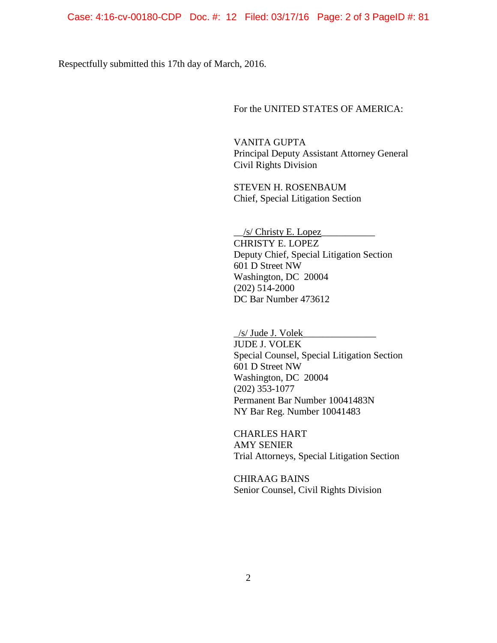Respectfully submitted this 17th day of March, 2016.

For the UNITED STATES OF AMERICA:

 Principal Deputy Assistant Attorney General VANITA GUPTA Civil Rights Division

STEVEN H. ROSENBAUM Chief, Special Litigation Section

 $\angle$ /s/ Christy E. Lopez CHRISTY E. LOPEZ Deputy Chief, Special Litigation Section 601 D Street NW Washington, DC 20004 (202) 514-2000 DC Bar Number 473612

 $/$ s/ Jude J. Volek JUDE J. VOLEK Special Counsel, Special Litigation Section 601 D Street NW Washington, DC 20004 (202) 353-1077 Permanent Bar Number 10041483N NY Bar Reg. Number 10041483

CHARLES HART AMY SENIER Trial Attorneys, Special Litigation Section

CHIRAAG BAINS Senior Counsel, Civil Rights Division